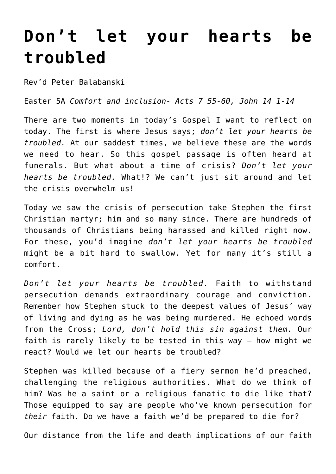## **[Don't let your hearts be](https://stjohnsadelaide.org.au/dont-let-your-hearts-be-troubled/) [troubled](https://stjohnsadelaide.org.au/dont-let-your-hearts-be-troubled/)**

Rev'd Peter Balabanski

Easter 5A *Comfort and inclusion- Acts 7 55-60, John 14 1-14*

There are two moments in today's Gospel I want to reflect on today. The first is where Jesus says; *don't let your hearts be troubled.* At our saddest times, we believe these are the words we need to hear. So this gospel passage is often heard at funerals. But what about a time of crisis? *Don't let your hearts be troubled.* What!? We can't just sit around and let the crisis overwhelm us!

Today we saw the crisis of persecution take Stephen the first Christian martyr; him and so many since. There are hundreds of thousands of Christians being harassed and killed right now. For these, you'd imagine *don't let your hearts be troubled* might be a bit hard to swallow. Yet for many it's still a comfort.

*Don't let your hearts be troubled.* Faith to withstand persecution demands extraordinary courage and conviction. Remember how Stephen stuck to the deepest values of Jesus' way of living and dying as he was being murdered. He echoed words from the Cross; *Lord, don't hold this sin against them.* Our faith is rarely likely to be tested in this way – how might we react? Would we let our hearts be troubled?

Stephen was killed because of a fiery sermon he'd preached, challenging the religious authorities. What do we think of him? Was he a saint or a religious fanatic to die like that? Those equipped to say are people who've known persecution for *their* faith. Do we have a faith we'd be prepared to die for?

Our distance from the life and death implications of our faith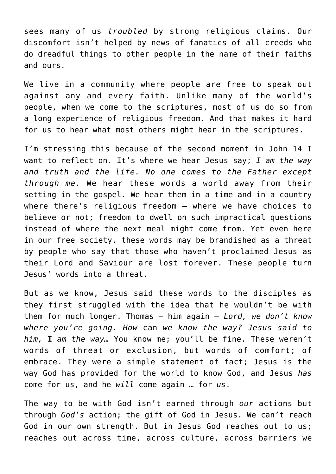sees many of us *troubled* by strong religious claims. Our discomfort isn't helped by news of fanatics of all creeds who do dreadful things to other people in the name of their faiths and ours.

We live in a community where people are free to speak out against any and every faith. Unlike many of the world's people, when we come to the scriptures, most of us do so from a long experience of religious freedom. And that makes it hard for us to hear what most others might hear in the scriptures.

I'm stressing this because of the second moment in John 14 I want to reflect on. It's where we hear Jesus say; *I am the way and truth and the life. No one comes to the Father except through me.* We hear these words a world away from their setting in the gospel. We hear them in a time and in a country where there's religious freedom – where we have choices to believe or not; freedom to dwell on such impractical questions instead of where the next meal might come from. Yet even here in our free society, these words may be brandished as a threat by people who say that those who haven't proclaimed Jesus as their Lord and Saviour are lost forever. These people turn Jesus' words into a threat.

But as we know, Jesus said these words to the disciples as they first struggled with the idea that he wouldn't be with them for much longer. Thomas – him again – *Lord, we don't know where you're going. How* can *we know the way? Jesus said to him,* **I** *am the way…* You know me; you'll be fine. These weren't words of threat or exclusion, but words of comfort; of embrace. They were a simple statement of fact; Jesus is the way God has provided for the world to know God, and Jesus *has* come for us, and he *will* come again … for *us*.

The way to be with God isn't earned through *our* actions but through *God's* action; the gift of God in Jesus. We can't reach God in our own strength. But in Jesus God reaches out to us; reaches out across time, across culture, across barriers we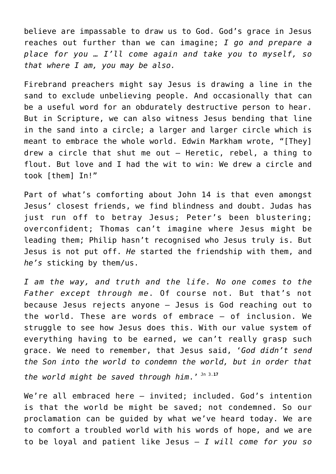believe are impassable to draw us to God. God's grace in Jesus reaches out further than we can imagine; *I go and prepare a place for you … I'll come again and take you to myself, so that where I am, you may be also.*

Firebrand preachers might say Jesus is drawing a line in the sand to exclude unbelieving people. And occasionally that can be a useful word for an obdurately destructive person to hear. But in Scripture, we can also witness Jesus bending that line in the sand into a circle; a larger and larger circle which is meant to embrace the whole world. Edwin Markham wrote, "[They] drew a circle that shut me out – Heretic, rebel, a thing to flout. But love and I had the wit to win: We drew a circle and took [them] In!"

Part of what's comforting about John 14 is that even amongst Jesus' closest friends, we find blindness and doubt. Judas has just run off to betray Jesus; Peter's been blustering; overconfident; Thomas can't imagine where Jesus might be leading them; Philip hasn't recognised who Jesus truly is. But Jesus is not put off. *He* started the friendship with them, and *he's* sticking by them/us.

*I am the way, and truth and the life. No one comes to the Father except through me*. Of course not. But that's not because Jesus rejects anyone – Jesus is God reaching out to the world. These are words of embrace – of inclusion. We struggle to see how Jesus does this. With our value system of everything having to be earned, we can't really grasp such grace. We need to remember, that Jesus said, '*God didn't send the Son into the world to condemn the world, but in order that the world might be saved through him*.' Jn 3.**<sup>17</sup>**

We're all embraced here – invited; included. God's intention is that the world be might be saved; not condemned. So our proclamation can be guided by what we've heard today. We are to comfort a troubled world with his words of hope, and we are to be loyal and patient like Jesus – *I will come for you so*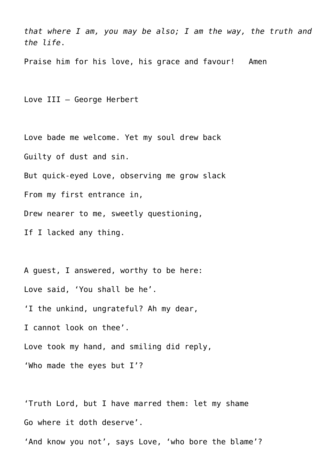*that where I am, you may be also; I am the way, the truth and the life*.

Praise him for his love, his grace and favour! Amen

Love III – George Herbert

Love bade me welcome. Yet my soul drew back Guilty of dust and sin. But quick-eyed Love, observing me grow slack From my first entrance in, Drew nearer to me, sweetly questioning, If I lacked any thing.

A guest, I answered, worthy to be here: Love said, 'You shall be he'. 'I the unkind, ungrateful? Ah my dear, I cannot look on thee'. Love took my hand, and smiling did reply, 'Who made the eyes but I'?

'Truth Lord, but I have marred them: let my shame Go where it doth deserve'.

'And know you not', says Love, 'who bore the blame'?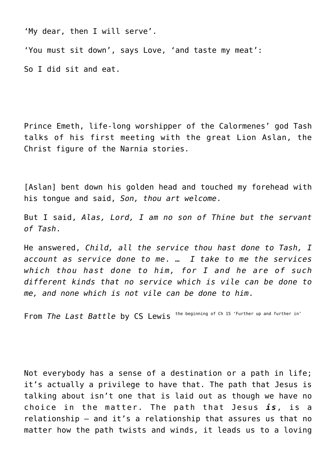'My dear, then I will serve'.

'You must sit down', says Love, 'and taste my meat': So I did sit and eat.

Prince Emeth, life-long worshipper of the Calormenes' god Tash talks of his first meeting with the great Lion Aslan, the Christ figure of the Narnia stories.

[Aslan] bent down his golden head and touched my forehead with his tongue and said, *Son, thou art welcome*.

But I said, *Alas, Lord, I am no son of Thine but the servant of Tash*.

He answered, *Child, all the service thou hast done to Tash, I account as service done to me*. … *I take to me the services which thou hast done to him, for I and he are of such different kinds that no service which is vile can be done to me, and none which is not vile can be done to him*.

From *The Last Battle* by CS Lewis the beginning of Ch 15 'Further up and further in'

Not everybody has a sense of a destination or a path in life; it's actually a privilege to have that. The path that Jesus is talking about isn't one that is laid out as though we have no choice in the matter. The path that Jesus *is*, is a relationship – and it's a relationship that assures us that no matter how the path twists and winds, it leads us to a loving